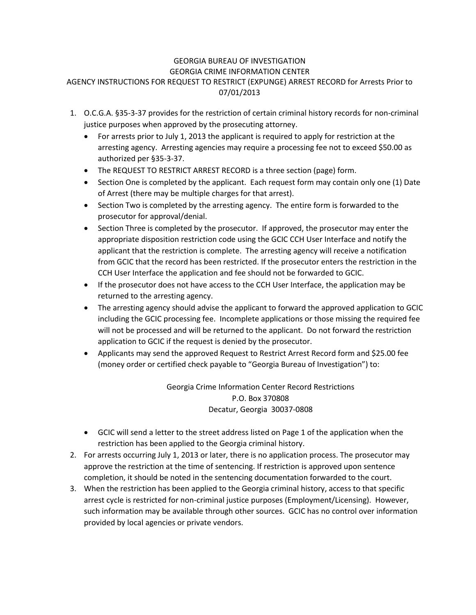## GEORGIA BUREAU OF INVESTIGATION GEORGIA CRIME INFORMATION CENTER AGENCY INSTRUCTIONS FOR REQUEST TO RESTRICT (EXPUNGE) ARREST RECORD for Arrests Prior to 07/01/2013

- 1. O.C.G.A. §35-3-37 provides for the restriction of certain criminal history records for non-criminal justice purposes when approved by the prosecuting attorney.
	- For arrests prior to July 1, 2013 the applicant is required to apply for restriction at the arresting agency. Arresting agencies may require a processing fee not to exceed \$50.00 as authorized per §35-3-37.
	- The REQUEST TO RESTRICT ARREST RECORD is a three section (page) form.
	- Section One is completed by the applicant. Each request form may contain only one (1) Date of Arrest (there may be multiple charges for that arrest).
	- Section Two is completed by the arresting agency. The entire form is forwarded to the prosecutor for approval/denial.
	- Section Three is completed by the prosecutor. If approved, the prosecutor may enter the appropriate disposition restriction code using the GCIC CCH User Interface and notify the applicant that the restriction is complete. The arresting agency will receive a notification from GCIC that the record has been restricted. If the prosecutor enters the restriction in the CCH User Interface the application and fee should not be forwarded to GCIC.
	- If the prosecutor does not have access to the CCH User Interface, the application may be returned to the arresting agency.
	- The arresting agency should advise the applicant to forward the approved application to GCIC including the GCIC processing fee. Incomplete applications or those missing the required fee will not be processed and will be returned to the applicant. Do not forward the restriction application to GCIC if the request is denied by the prosecutor.
	- Applicants may send the approved Request to Restrict Arrest Record form and \$25.00 fee (money order or certified check payable to "Georgia Bureau of Investigation") to:

Georgia Crime Information Center Record Restrictions P.O. Box 370808 Decatur, Georgia 30037-0808

- GCIC will send a letter to the street address listed on Page 1 of the application when the restriction has been applied to the Georgia criminal history.
- 2. For arrests occurring July 1, 2013 or later, there is no application process. The prosecutor may approve the restriction at the time of sentencing. If restriction is approved upon sentence completion, it should be noted in the sentencing documentation forwarded to the court.
- 3. When the restriction has been applied to the Georgia criminal history, access to that specific arrest cycle is restricted for non-criminal justice purposes (Employment/Licensing). However, such information may be available through other sources. GCIC has no control over information provided by local agencies or private vendors.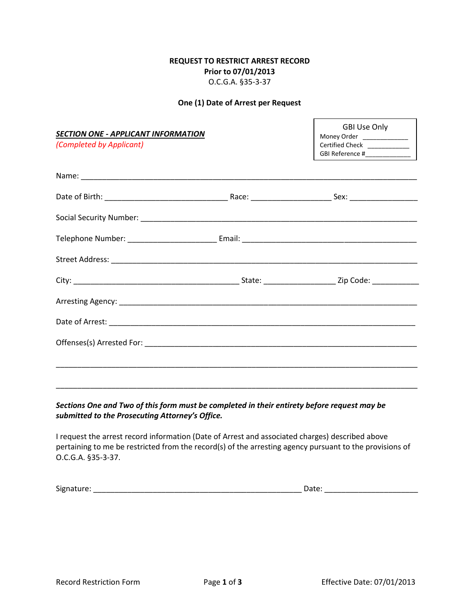### **REQUEST TO RESTRICT ARREST RECORD Prior to 07/01/2013** O.C.G.A. §35-3-37

#### **One (1) Date of Arrest per Request**

*SECTION ONE - APPLICANT INFORMATION*

*(Completed by Applicant)*

GBI Use Only Money Order \_\_\_\_\_\_ Certified Check \_\_\_\_\_\_\_\_\_\_\_\_ GBI Reference #\_\_\_\_\_\_\_\_\_\_\_\_\_

*Sections One and Two of this form must be completed in their entirety before request may be submitted to the Prosecuting Attorney's Office.*

I request the arrest record information (Date of Arrest and associated charges) described above pertaining to me be restricted from the record(s) of the arresting agency pursuant to the provisions of O.C.G.A. §35-3-37.

\_\_\_\_\_\_\_\_\_\_\_\_\_\_\_\_\_\_\_\_\_\_\_\_\_\_\_\_\_\_\_\_\_\_\_\_\_\_\_\_\_\_\_\_\_\_\_\_\_\_\_\_\_\_\_\_\_\_\_\_\_\_\_\_\_\_\_\_\_\_\_\_\_\_\_\_\_\_\_\_\_\_\_\_\_

Signature: \_\_\_\_\_\_\_\_\_\_\_\_\_\_\_\_\_\_\_\_\_\_\_\_\_\_\_\_\_\_\_\_\_\_\_\_\_\_\_\_\_\_\_\_\_\_\_\_\_ Date: \_\_\_\_\_\_\_\_\_\_\_\_\_\_\_\_\_\_\_\_\_\_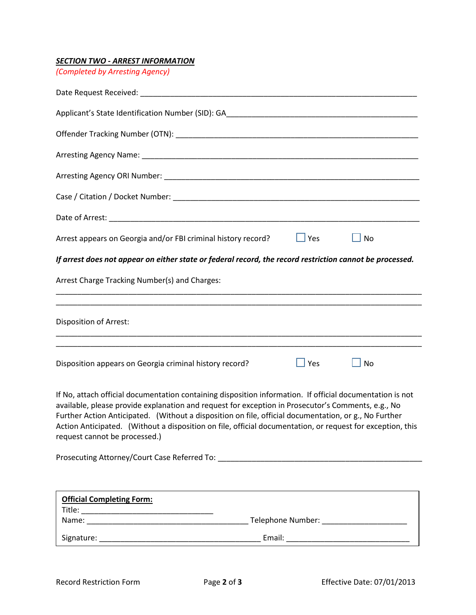# *SECTION TWO - ARREST INFORMATION*

*(Completed by Arresting Agency)*

| $\Box$ Yes<br>Arrest appears on Georgia and/or FBI criminal history record?<br>$\Box$ No                                                                                                                                                                                                                                                                                                                                                                                |
|-------------------------------------------------------------------------------------------------------------------------------------------------------------------------------------------------------------------------------------------------------------------------------------------------------------------------------------------------------------------------------------------------------------------------------------------------------------------------|
| If arrest does not appear on either state or federal record, the record restriction cannot be processed.                                                                                                                                                                                                                                                                                                                                                                |
| Arrest Charge Tracking Number(s) and Charges:                                                                                                                                                                                                                                                                                                                                                                                                                           |
| ,我们也不能在这里的时候,我们也不能在这里的时候,我们也不能会在这里的时候,我们也不能会在这里的时候,我们也不能会在这里的时候,我们也不能会在这里的时候,我们也<br><b>Disposition of Arrest:</b>                                                                                                                                                                                                                                                                                                                                                       |
| $\Box$ Yes<br>Disposition appears on Georgia criminal history record?<br>No                                                                                                                                                                                                                                                                                                                                                                                             |
| If No, attach official documentation containing disposition information. If official documentation is not<br>available, please provide explanation and request for exception in Prosecutor's Comments, e.g., No<br>Further Action Anticipated. (Without a disposition on file, official documentation, or g., No Further<br>Action Anticipated. (Without a disposition on file, official documentation, or request for exception, this<br>request cannot be processed.) |
|                                                                                                                                                                                                                                                                                                                                                                                                                                                                         |
|                                                                                                                                                                                                                                                                                                                                                                                                                                                                         |

| <b>Official Completing Form:</b> |                   |
|----------------------------------|-------------------|
| Title:                           |                   |
| Name:                            | Telephone Number: |
| Signature:                       | Email:            |

 $\Gamma$ 

٦